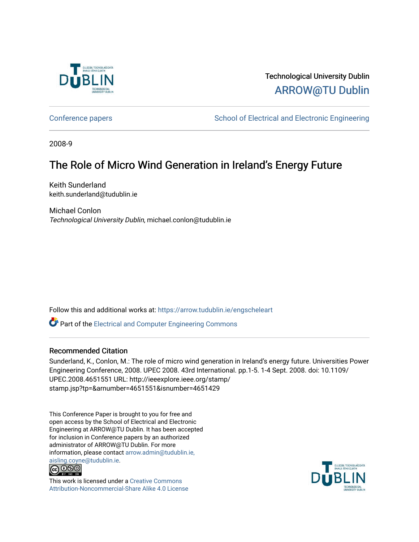

## Technological University Dublin [ARROW@TU Dublin](https://arrow.tudublin.ie/)

[Conference papers](https://arrow.tudublin.ie/engscheleart) **School of Electrical and Electronic Engineering** 

2008-9

## The Role of Micro Wind Generation in Ireland's Energy Future

Keith Sunderland keith.sunderland@tudublin.ie

Michael Conlon Technological University Dublin, michael.conlon@tudublin.ie

Follow this and additional works at: [https://arrow.tudublin.ie/engscheleart](https://arrow.tudublin.ie/engscheleart?utm_source=arrow.tudublin.ie%2Fengscheleart%2F173&utm_medium=PDF&utm_campaign=PDFCoverPages) 

**C** Part of the Electrical and Computer Engineering Commons

### Recommended Citation

Sunderland, K., Conlon, M.: The role of micro wind generation in Ireland's energy future. Universities Power Engineering Conference, 2008. UPEC 2008. 43rd International. pp.1-5. 1-4 Sept. 2008. doi: 10.1109/ UPEC.2008.4651551 URL: http://ieeexplore.ieee.org/stamp/ stamp.jsp?tp=&arnumber=4651551&isnumber=4651429

This Conference Paper is brought to you for free and open access by the School of Electrical and Electronic Engineering at ARROW@TU Dublin. It has been accepted for inclusion in Conference papers by an authorized administrator of ARROW@TU Dublin. For more information, please contact [arrow.admin@tudublin.ie,](mailto:arrow.admin@tudublin.ie,%20aisling.coyne@tudublin.ie)  [aisling.coyne@tudublin.ie.](mailto:arrow.admin@tudublin.ie,%20aisling.coyne@tudublin.ie)<br>© 090



This work is licensed under a [Creative Commons](http://creativecommons.org/licenses/by-nc-sa/4.0/) [Attribution-Noncommercial-Share Alike 4.0 License](http://creativecommons.org/licenses/by-nc-sa/4.0/)

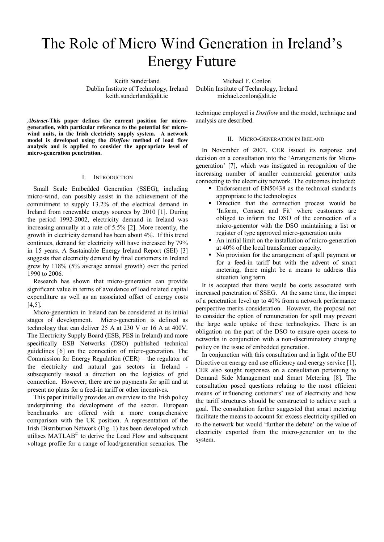# The Role of Micro Wind Generation in Ireland's Energy Future

Keith Sunderland Dublin Institute of Technology, Ireland keith.sunderland@dit.ie

Michael F. Conlon Dublin Institute of Technology, Ireland michael.conlon@dit.ie

*Abstract-***This paper defines the current position for microgeneration, with particular reference to the potential for microwind units, in the Irish electricity supply system. A network model is developed using the** *Distflow* **method of load flow analysis and is applied to consider the appropriate level of micro-generation penetration.** 

#### I. INTRODUCTION

Small Scale Embedded Generation (SSEG), including micro-wind, can possibly assist in the achievement of the commitment to supply 13.2% of the electrical demand in Ireland from renewable energy sources by 2010 [1]. During the period 1992-2002, electricity demand in Ireland was increasing annually at a rate of 5.5% [2]. More recently, the growth in electricity demand has been about 4%. If this trend continues, demand for electricity will have increased by 79% in 15 years. A Sustainable Energy Ireland Report (SEI) [3] suggests that electricity demand by final customers in Ireland grew by 118% (5% average annual growth) over the period 1990 to 2006.

Research has shown that micro-generation can provide significant value in terms of avoidance of load related capital expenditure as well as an associated offset of energy costs  $[4,5]$ .

Micro-generation in Ireland can be considered at its initial stages of development. Micro-generation is defined as technology that can deliver 25 A at 230 V or 16 A at 400V. The Electricity Supply Board (ESB, PES in Ireland) and more specifically ESB Networks (DSO) published technical guidelines [6] on the connection of micro-generation. The Commission for Energy Regulation (CER) – the regulator of the electricity and natural gas sectors in Ireland subsequently issued a direction on the logistics of grid connection. However, there are no payments for spill and at present no plans for a feed-in tariff or other incentives.

This paper initially provides an overview to the Irish policy underpinning the development of the sector. European benchmarks are offered with a more comprehensive comparison with the UK position. A representation of the Irish Distribution Network (Fig. 1) has been developed which utilises MATLAB© to derive the Load Flow and subsequent voltage profile for a range of load/generation scenarios. The

technique employed is *Distflow* and the model, technique and analysis are described.

#### II. MICRO-GENERATION IN IRELAND

In November of 2007, CER issued its response and decision on a consultation into the 'Arrangements for Microgeneration' [7], which was instigated in recognition of the increasing number of smaller commercial generator units connecting to the electricity network. The outcomes included:

- Endorsement of EN50438 as the technical standards appropriate to the technologies
- Direction that the connection process would be 'Inform, Consent and Fit' where customers are obliged to inform the DSO of the connection of a micro-generator with the DSO maintaining a list or register of type approved micro-generation units
- An initial limit on the installation of micro-generation at 40% of the local transformer capacity.
- No provision for the arrangement of spill payment or for a feed-in tariff but with the advent of smart metering, there might be a means to address this situation long term.

It is accepted that there would be costs associated with increased penetration of SSEG. At the same time, the impact of a penetration level up to 40% from a network performance perspective merits consideration. However, the proposal not to consider the option of remuneration for spill may prevent the large scale uptake of these technologies. There is an obligation on the part of the DSO to ensure open access to networks in conjunction with a non-discriminatory charging policy on the issue of embedded generation.

In conjunction with this consultation and in light of the EU Directive on energy end use efficiency and energy service [1], CER also sought responses on a consultation pertaining to Demand Side Management and Smart Metering [8]. The consultation posed questions relating to the most efficient means of influencing customers' use of electricity and how the tariff structures should be constructed to achieve such a goal. The consultation further suggested that smart metering facilitate the means to account for excess electricity spilled on to the network but would 'further the debate' on the value of electricity exported from the micro-generator on to the system.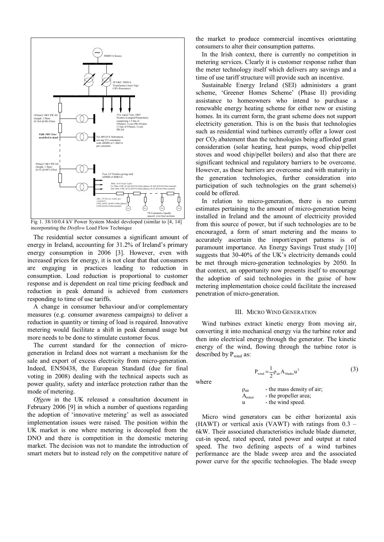

Fig 1. 38/10/0.4 kV Power System Model developed (similar to [4, 14] incorporating the *Distflow* Load Flow Technique

The residential sector consumes a significant amount of energy in Ireland, accounting for 31.2% of Ireland's primary energy consumption in 2006 [3]. However, even with increased prices for energy, it is not clear that that consumers are engaging in practices leading to reduction in consumption. Load reduction is proportional to customer response and is dependent on real time pricing feedback and reduction in peak demand is achieved from customers responding to time of use tariffs.

A change in consumer behaviour and/or complementary measures (e.g. consumer awareness campaigns) to deliver a reduction in quantity or timing of load is required. Innovative metering would facilitate a shift in peak demand usage but more needs to be done to stimulate customer focus.

The current standard for the connection of microgeneration in Ireland does not warrant a mechanism for the sale and export of excess electricity from micro-generation. Indeed, EN50438, the European Standard (due for final voting in 2008) dealing with the technical aspects such as power quality, safety and interface protection rather than the mode of metering.

*Ofgem* in the UK released a consultation document in February 2006 [9] in which a number of questions regarding the adoption of 'innovative metering' as well as associated implementation issues were raised. The position within the UK market is one where metering is decoupled from the DNO and there is competition in the domestic metering market. The decision was not to mandate the introduction of smart meters but to instead rely on the competitive nature of the market to produce commercial incentives orientating consumers to alter their consumption patterns.

In the Irish context, there is currently no competition in metering services. Clearly it is customer response rather than the meter technology itself which delivers any savings and a time of use tariff structure will provide such an incentive.

Sustainable Energy Ireland (SEI) administers a grant scheme, 'Greener Homes Scheme' (Phase II) providing assistance to homeowners who intend to purchase a renewable energy heating scheme for either new or existing homes. In its current form, the grant scheme does not support electricity generation. This is on the basis that technologies such as residential wind turbines currently offer a lower cost per  $CO<sub>2</sub>$  abatement than the technologies being afforded grant consideration (solar heating, heat pumps, wood chip/pellet stoves and wood chip/pellet boilers) and also that there are significant technical and regulatory barriers to be overcome. However, as these barriers are overcome and with maturity in the generation technologies, further consideration into participation of such technologies on the grant scheme(s) could be offered.

In relation to micro-generation, there is no current estimates pertaining to the amount of micro-generation being installed in Ireland and the amount of electricity provided from this source of power, but if such technologies are to be encouraged, a form of smart metering and the means to accurately ascertain the import/export patterns is of paramount importance. An Energy Savings Trust study [10] suggests that 30-40% of the UK's electricity demands could be met through micro-generation technologies by 2050. In that context, an opportunity now presents itself to encourage the adoption of said technologies in the guise of how metering implementation choice could facilitate the increased penetration of micro-generation.

#### III. MICRO WIND GENERATION

Wind turbines extract kinetic energy from moving air, converting it into mechanical energy via the turbine rotor and then into electrical energy through the generator. The kinetic energy of the wind, flowing through the turbine rotor is described by Pwind as:

where

$$
P_{\text{wind}} = \frac{1}{2} \rho_{\text{air}} A_{\text{blades}} u^3 \tag{3}
$$

$$
\rho_{air}
$$
 - the mass density of air;  
\n
$$
A_{rotor}
$$
 - the propeller area;  
\nu - the wind speed.

 Micro wind generators can be either horizontal axis (HAWT) or vertical axis (VAWT) with ratings from  $0.3 -$ 6kW. Their associated characteristics include blade diameter, cut-in speed, rated speed, rated power and output at rated speed. The two defining aspects of a wind turbines performance are the blade sweep area and the associated power curve for the specific technologies. The blade sweep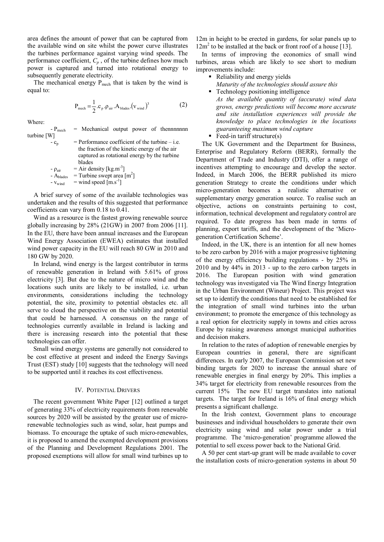area defines the amount of power that can be captured from the available wind on site whilst the power curve illustrates the turbines performance against varying wind speeds. The performance coefficient,  $C_p$ , of the turbine defines how much power is captured and turned into rotational energy to subsequently generate electricity.

The mechanical energy  $P_{\text{mech}}$  that is taken by the wind is equal to:

$$
P_{\text{mech}} = \frac{1}{2} . c_{p} . \rho_{\text{air}} . A_{\text{blades}} . (v_{\text{wind}})^{3}
$$
 (2)

Where:

 $-P_{mech}$  = Mechanical output power of thennnnnnn turbine [W]

| $-c_n$               | $=$ Performance coefficient of the turbine $-$ i.e. |
|----------------------|-----------------------------------------------------|
|                      | the fraction of the kinetic energy of the air       |
|                      | captured as rotational energy by the turbine        |
|                      | blades                                              |
| $-\rho_{\text{air}}$ | $=$ Air density [kg.m <sup>-3</sup> ]               |

 $-A<sub>blades</sub>$  = Turbine swept area  $[m<sup>2</sup>]$ 

 $=$  wind speed  $[m.s^{-1}]$ 

 A brief survey of some of the available technologies was undertaken and the results of this suggested that performance coefficients can vary from 0.18 to 0.41.

Wind as a resource is the fastest growing renewable source globally increasing by 28% (21GW) in 2007 from 2006 [11]. In the EU, there have been annual increases and the European Wind Energy Association (EWEA) estimates that installed wind power capacity in the EU will reach 80 GW in 2010 and 180 GW by 2020.

In Ireland, wind energy is the largest contributor in terms of renewable generation in Ireland with 5.61% of gross electricity [3]. But due to the nature of micro wind and the locations such units are likely to be installed, i.e. urban environments, considerations including the technology potential, the site, proximity to potential obstacles etc. all serve to cloud the perspective on the viability and potential that could be harnessed. A consensus on the range of technologies currently available in Ireland is lacking and there is increasing research into the potential that these technologies can offer.

Small wind energy systems are generally not considered to be cost effective at present and indeed the Energy Savings Trust (EST) study [10] suggests that the technology will need to be supported until it reaches its cost effectiveness.

#### IV. POTENTIAL DRIVERS

The recent government White Paper [12] outlined a target of generating 33% of electricity requirements from renewable sources by 2020 will be assisted by the greater use of microrenewable technologies such as wind, solar, heat pumps and biomass. To encourage the uptake of such micro-renewables, it is proposed to amend the exempted development provisions of the Planning and Development Regulations 2001. The proposed exemptions will allow for small wind turbines up to

12m in height to be erected in gardens, for solar panels up to 12m<sup>2</sup> to be installed at the back or front roof of a house [13].

In terms of improving the economics of small wind turbines, areas which are likely to see short to medium improvements include:

Reliability and energy yields *Maturity of the technologies should assure this*

■ Technology positioning intelligence *As the available quantity of (accurate) wind data grows, energy predictions will become more accurate and site installation experiences will provide the knowledge to place technologies in the locations guaranteeing maximum wind capture*

Feed-in tariff structure(s)

The UK Government and the Department for Business, Enterprise and Regulatory Reform (BERR), formally the Department of Trade and Industry (DTI), offer a range of incentives attempting to encourage and develop the sector. Indeed, in March 2006, the BERR published its micro generation Strategy to create the conditions under which micro-generation becomes a realistic alternative or supplementary energy generation source. To realise such an objective, actions on constraints pertaining to cost, information, technical development and regulatory control are required. To date progress has been made in terms of planning, export tariffs, and the development of the 'Microgeneration Certification Scheme'.

Indeed, in the UK, there is an intention for all new homes to be zero carbon by 2016 with a major progressive tightening of the energy efficiency building regulations - by 25% in 2010 and by 44% in 2013 - up to the zero carbon targets in 2016. The European position with wind generation technology was investigated via The Wind Energy Integration in the Urban Environment (Wineur) Project. This project was set up to identify the conditions that need to be established for the integration of small wind turbines into the urban environment; to promote the emergence of this technology as a real option for electricity supply in towns and cities across Europe by raising awareness amongst municipal authorities and decision makers.

In relation to the rates of adoption of renewable energies by European countries in general, there are significant differences. In early 2007, the European Commission set new binding targets for 2020 to increase the annual share of renewable energies in final energy by 20%. This implies a 34% target for electricity from renewable resources from the current 15% The new EU target translates into national targets. The target for Ireland is 16% of final energy which presents a significant challenge.

In the Irish context, Government plans to encourage businesses and individual householders to generate their own electricity using wind and solar power under a trial programme. The 'micro-generation' programme allowed the potential to sell excess power back to the National Grid.

A 50 per cent start-up grant will be made available to cover the installation costs of micro-generation systems in about 50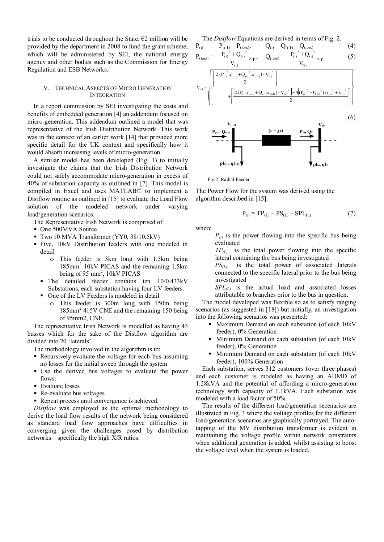trials to be conducted throughout the State.  $\epsilon$ 2 million will be provided by the department in 2008 to fund the grant scheme, which will be administered by SEI, the national energy agency and other bodies such as the Commission for Energy Regulation and ESB Networks.

#### V. TECHNICAL ASPECTS OF MICRO GENERATION INTEGRATION

In a report commission by SEI investigating the costs and benefits of embedded generation [4] an addendum focused on micro-generation. This addendum outlined a model that was representative of the Irish Distribution Network. This work was in the context of an earlier work [14] that provided more specific detail for the UK context and specifically how it would absorb increasing levels of micro-generation.

A similar model has been developed (Fig. 1) to initially investigate the claims that the Irish Distribution Network could not safely accommodate micro-generation in excess of 40% of substation capacity as outlined in [7]. This model is compiled in Excel and uses MATLAB© to implement a Distflow routine as outlined in [15] to evaluate the Load Flow solution of the modeled network under varying load/generation scenarios.

The Representative Irish Network is comprised of:

- One 500MVA Source
- Two 10 MVA Transformer (YY0, 38/10.5kV)
- Five, 10kV Distribution feeders with one modeled in detail
	- o This feeder is 3km long with 1.5km being 185mm<sup>2</sup> 10kV PICAS and the remaining 1.5km being of 95 mm<sup>2</sup>,  $10kV$  PICAS
	- The detailed feeder contains ten 10/0.433kV Substations, each substation having four LV feeders.
	- One of the LV Feeders is modeled in detail
		- o This feeder is 300m long with 150m being 185mm<sup>2</sup> 415V CNE and the remaining 150 being of 95mm2, CNE.

The representative Irish Network is modelled as having 43 busses which for the sake of the Distflow algorithm are divided into 20 'laterals'.

The methodology involved in the algorithm is to:

- Recursively evaluate the voltage for each bus assuming no losses for the initial sweep through the system
- Use the derived bus voltages to evaluate the power flows:
- Evaluate losses
- Re-evaluate bus voltages
- Repeat process until convergence is achieved.

 *Distflow* was employed as the optimal methodology to derive the load flow results of the network being considered as standard load flow approaches have difficulties in converging given the challenges posed by distribution networks – specifically the high X/R ratios.

 The *Distflow* Equations are derived in terms of Fig. 2.  $P_{(i)} = P_{(i-1)} - P_{(loss)}; \qquad Q_{(i)} = Q_{(i-1)} - Q_{(loss)}$  (4)





Fig 2. Radial Feeder

The Power Flow for the system was derived using the algorithm described in [15]:

$$
P_{(i)} = TP_{(L)} - PS_{(L)} - SPI_{(L)}
$$
(7)

where

 $P_{(i)}$  is the power flowing into the specific bus being evaluated

 $TP_{(L)}$  is the total power flowing into the specific lateral containing the bus being investigated

*PS(L)* is the total power of associated laterals connected to the specific lateral prior to the bus being investigated

*SPL(L)* is the actual load and associated losses attributable to branches prior to the bus in question.

 The model developed was flexible so as to satisfy ranging scenarios (as suggested in [18]) but initially, an investigation into the following scenarios was presented:

- **Maximum Demand on each substation (of each 10kV)** feeder), 0% Generation
- Minimum Demand on each substation (of each 10kV feeder), 0% Generation
- Minimum Demand on each substation (of each 10kV feeder), 100% Generation

 Each substation, serves 312 customers (over three phases) and each customer is modeled as having an ADMD of 1.28kVA and the potential of affording a micro-generation technology with capacity of 1.1kVA. Each substation was modeled with a load factor of 50%.

 The results of the different load/generation secenarios are illustrated in Fig. 3 where the voltage profiles for the different load/generation scenarios are graphically portrayed. The autotapping of the MV distribution transformer is evident in maintaining the voltage profile within network constraints when additional generation is added, whilst assisting to boost the voltage level when the system is loaded.